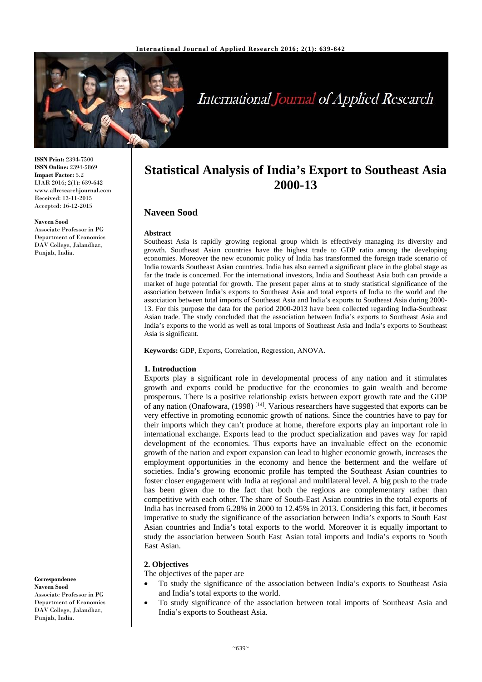

# International Journal of Applied Research

**ISSN Print:** 2394-7500 **ISSN Online:** 2394-5869 **Impact Factor:** 5.2 IJAR 2016; 2(1): 639-642 www.allresearchjournal.com Received: 13-11-2015 Accepted: 16-12-2015

#### **Naveen Sood**

Associate Professor in PG Department of Economics DAV College, Jalandhar, Punjab, India.

**Correspondence Naveen Sood**  Associate Professor in PG Department of Economics DAV College, Jalandhar, Punjab, India.

## **Statistical Analysis of India's Export to Southeast Asia 2000-13**

### **Naveen Sood**

#### **Abstract**

Southeast Asia is rapidly growing regional group which is effectively managing its diversity and growth. Southeast Asian countries have the highest trade to GDP ratio among the developing economies. Moreover the new economic policy of India has transformed the foreign trade scenario of India towards Southeast Asian countries. India has also earned a significant place in the global stage as far the trade is concerned. For the international investors, India and Southeast Asia both can provide a market of huge potential for growth. The present paper aims at to study statistical significance of the association between India's exports to Southeast Asia and total exports of India to the world and the association between total imports of Southeast Asia and India's exports to Southeast Asia during 2000- 13. For this purpose the data for the period 2000-2013 have been collected regarding India-Southeast Asian trade. The study concluded that the association between India's exports to Southeast Asia and India's exports to the world as well as total imports of Southeast Asia and India's exports to Southeast Asia is significant.

**Keywords:** GDP, Exports, Correlation, Regression, ANOVA.

#### **1. Introduction**

Exports play a significant role in developmental process of any nation and it stimulates growth and exports could be productive for the economies to gain wealth and become prosperous. There is a positive relationship exists between export growth rate and the GDP of any nation (Onafowara, (1998) [14]. Various researchers have suggested that exports can be very effective in promoting economic growth of nations. Since the countries have to pay for their imports which they can't produce at home, therefore exports play an important role in international exchange. Exports lead to the product specialization and paves way for rapid development of the economies. Thus exports have an invaluable effect on the economic growth of the nation and export expansion can lead to higher economic growth, increases the employment opportunities in the economy and hence the betterment and the welfare of societies. India's growing economic profile has tempted the Southeast Asian countries to foster closer engagement with India at regional and multilateral level. A big push to the trade has been given due to the fact that both the regions are complementary rather than competitive with each other. The share of South-East Asian countries in the total exports of India has increased from 6.28% in 2000 to 12.45% in 2013. Considering this fact, it becomes imperative to study the significance of the association between India's exports to South East Asian countries and India's total exports to the world. Moreover it is equally important to study the association between South East Asian total imports and India's exports to South East Asian.

#### **2. Objectives**

The objectives of the paper are

- To study the significance of the association between India's exports to Southeast Asia and India's total exports to the world.
- To study significance of the association between total imports of Southeast Asia and India's exports to Southeast Asia.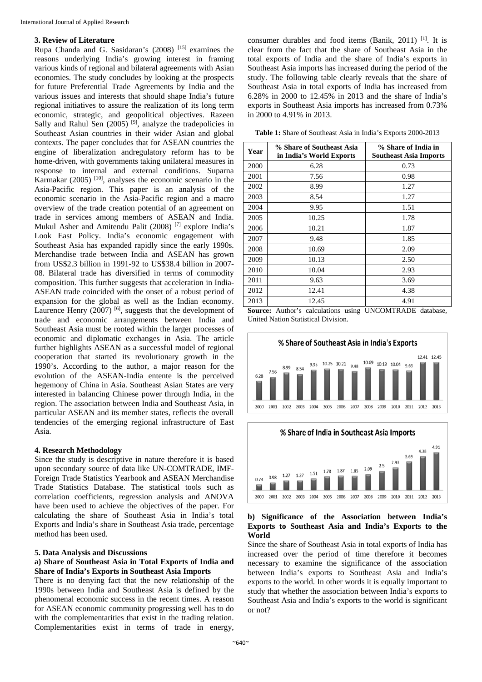#### **3. Review of Literature**

Rupa Chanda and G. Sasidaran's (2008) [15] examines the reasons underlying India's growing interest in framing various kinds of regional and bilateral agreements with Asian economies. The study concludes by looking at the prospects for future Preferential Trade Agreements by India and the various issues and interests that should shape India's future regional initiatives to assure the realization of its long term economic, strategic, and geopolitical objectives. Razeen Sally and Rahul Sen  $(2005)$ <sup>[9]</sup>, analyze the tradepolicies in Southeast Asian countries in their wider Asian and global contexts. The paper concludes that for ASEAN countries the engine of liberalization andregulatory reform has to be home-driven, with governments taking unilateral measures in response to internal and external conditions. Suparna Karmakar  $(2005)$ <sup>[10]</sup>, analyses the economic scenario in the Asia-Pacific region. This paper is an analysis of the economic scenario in the Asia-Pacific region and a macro overview of the trade creation potential of an agreement on trade in services among members of ASEAN and India. Mukul Asher and Amitendu Palit (2008) [7] explore India's Look East Policy. India's economic engagement with Southeast Asia has expanded rapidly since the early 1990s. Merchandise trade between India and ASEAN has grown from US\$2.3 billion in 1991-92 to US\$38.4 billion in 2007- 08. Bilateral trade has diversified in terms of commodity composition. This further suggests that acceleration in India-ASEAN trade coincided with the onset of a robust period of expansion for the global as well as the Indian economy. Laurence Henry (2007)<sup>[6]</sup>, suggests that the development of trade and economic arrangements between India and Southeast Asia must be rooted within the larger processes of economic and diplomatic exchanges in Asia. The article further highlights ASEAN as a successful model of regional cooperation that started its revolutionary growth in the 1990's. According to the author, a major reason for the evolution of the ASEAN-India entente is the perceived hegemony of China in Asia. Southeast Asian States are very interested in balancing Chinese power through India, in the region. The association between India and Southeast Asia, in particular ASEAN and its member states, reflects the overall tendencies of the emerging regional infrastructure of East Asia.

#### **4. Research Methodology**

Since the study is descriptive in nature therefore it is based upon secondary source of data like UN-COMTRADE, IMF-Foreign Trade Statistics Yearbook and ASEAN Merchandise Trade Statistics Database. The statistical tools such as correlation coefficients, regression analysis and ANOVA have been used to achieve the objectives of the paper. For calculating the share of Southeast Asia in India's total Exports and India's share in Southeast Asia trade, percentage method has been used.

#### **5. Data Analysis and Discussions**

#### **a) Share of Southeast Asia in Total Exports of India and Share of India's Exports in Southeast Asia Imports**

There is no denying fact that the new relationship of the 1990s between India and Southeast Asia is defined by the phenomenal economic success in the recent times. A reason for ASEAN economic community progressing well has to do with the complementarities that exist in the trading relation. Complementarities exist in terms of trade in energy,

consumer durables and food items (Banik, 2011) <sup>[1]</sup>. It is clear from the fact that the share of Southeast Asia in the total exports of India and the share of India's exports in Southeast Asia imports has increased during the period of the study. The following table clearly reveals that the share of Southeast Asia in total exports of India has increased from 6.28% in 2000 to 12.45% in 2013 and the share of India's exports in Southeast Asia imports has increased from 0.73% in 2000 to 4.91% in 2013.

| Table 1: Share of Southeast Asia in India's Exports 2000-2013 |  |  |  |
|---------------------------------------------------------------|--|--|--|
|---------------------------------------------------------------|--|--|--|

| Year | % Share of Southeast Asia<br>in India's World Exports | % Share of India in<br><b>Southeast Asia Imports</b> |
|------|-------------------------------------------------------|------------------------------------------------------|
| 2000 | 6.28                                                  | 0.73                                                 |
| 2001 | 7.56                                                  | 0.98                                                 |
| 2002 | 8.99                                                  | 1.27                                                 |
| 2003 | 8.54                                                  | 1.27                                                 |
| 2004 | 9.95                                                  | 1.51                                                 |
| 2005 | 10.25                                                 | 1.78                                                 |
| 2006 | 10.21                                                 | 1.87                                                 |
| 2007 | 9.48                                                  | 1.85                                                 |
| 2008 | 10.69                                                 | 2.09                                                 |
| 2009 | 10.13                                                 | 2.50                                                 |
| 2010 | 10.04                                                 | 2.93                                                 |
| 2011 | 9.63                                                  | 3.69                                                 |
| 2012 | 12.41                                                 | 4.38                                                 |
| 2013 | 12.45                                                 | 4.91                                                 |

**Source:** Author's calculations using UNCOMTRADE database, United Nation Statistical Division.





#### **b) Significance of the Association between India's Exports to Southeast Asia and India's Exports to the World**

Since the share of Southeast Asia in total exports of India has increased over the period of time therefore it becomes necessary to examine the significance of the association between India's exports to Southeast Asia and India's exports to the world. In other words it is equally important to study that whether the association between India's exports to Southeast Asia and India's exports to the world is significant or not?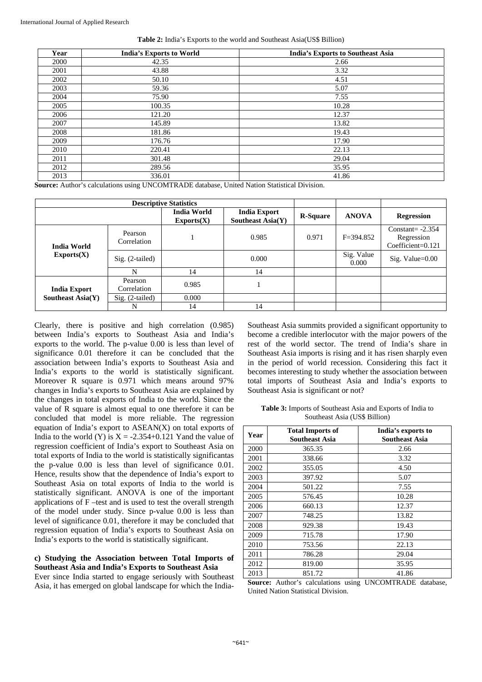| Year | <b>India's Exports to World</b> | <b>India's Exports to Southeast Asia</b> |
|------|---------------------------------|------------------------------------------|
| 2000 | 42.35                           | 2.66                                     |
| 2001 | 43.88                           | 3.32                                     |
| 2002 | 50.10                           | 4.51                                     |
| 2003 | 59.36                           | 5.07                                     |
| 2004 | 75.90                           | 7.55                                     |
| 2005 | 100.35                          | 10.28                                    |
| 2006 | 121.20                          | 12.37                                    |
| 2007 | 145.89                          | 13.82                                    |
| 2008 | 181.86                          | 19.43                                    |
| 2009 | 176.76                          | 17.90                                    |
| 2010 | 220.41                          | 22.13                                    |
| 2011 | 301.48                          | 29.04                                    |
| 2012 | 289.56                          | 35.95                                    |
| 2013 | 336.01                          | 41.86                                    |

#### **Table 2:** India's Exports to the world and Southeast Asia(US\$ Billion)

**Source:** Author's calculations using UNCOMTRADE database, United Nation Statistical Division.

| <b>Descriptive Statistics</b>                   |                        |                                  |                                                 |                 |                     |                                                           |
|-------------------------------------------------|------------------------|----------------------------------|-------------------------------------------------|-----------------|---------------------|-----------------------------------------------------------|
|                                                 |                        | <b>India World</b><br>Exports(X) | <b>India Export</b><br><b>Southeast Asia(Y)</b> | <b>R-Square</b> | <b>ANOVA</b>        | <b>Regression</b>                                         |
| <b>India World</b><br>$\text{Exports}(X)$       | Pearson<br>Correlation |                                  | 0.985                                           | 0.971           | $F = 394.852$       | Constant= $-2.354$<br>Regression<br>$Coefficient = 0.121$ |
|                                                 | $Sig. (2-tailed)$      |                                  | 0.000                                           |                 | Sig. Value<br>0.000 | $Sig.$ Value= $0.00$                                      |
|                                                 | N                      | 14                               | 14                                              |                 |                     |                                                           |
| <b>India Export</b><br><b>Southeast Asia(Y)</b> | Pearson<br>Correlation | 0.985                            |                                                 |                 |                     |                                                           |
|                                                 | $Sig. (2-tailed)$      | 0.000                            |                                                 |                 |                     |                                                           |
|                                                 | N                      | 14                               | 14                                              |                 |                     |                                                           |

Clearly, there is positive and high correlation (0.985) between India's exports to Southeast Asia and India's exports to the world. The p-value 0.00 is less than level of significance 0.01 therefore it can be concluded that the association between India's exports to Southeast Asia and India's exports to the world is statistically significant. Moreover R square is 0.971 which means around 97% changes in India's exports to Southeast Asia are explained by the changes in total exports of India to the world. Since the value of R square is almost equal to one therefore it can be concluded that model is more reliable. The regression equation of India's export to ASEAN(X) on total exports of India to the world (Y) is  $X = -2.354+0.121$  Yand the value of regression coefficient of India's export to Southeast Asia on total exports of India to the world is statistically significantas the p-value 0.00 is less than level of significance 0.01. Hence, results show that the dependence of India's export to Southeast Asia on total exports of India to the world is statistically significant. ANOVA is one of the important applications of F –test and is used to test the overall strength of the model under study. Since p-value 0.00 is less than level of significance 0.01, therefore it may be concluded that regression equation of India's exports to Southeast Asia on India's exports to the world is statistically significant.

#### **c) Studying the Association between Total Imports of Southeast Asia and India's Exports to Southeast Asia**

Ever since India started to engage seriously with Southeast Asia, it has emerged on global landscape for which the IndiaSoutheast Asia summits provided a significant opportunity to become a credible interlocutor with the major powers of the rest of the world sector. The trend of India's share in Southeast Asia imports is rising and it has risen sharply even in the period of world recession. Considering this fact it becomes interesting to study whether the association between total imports of Southeast Asia and India's exports to Southeast Asia is significant or not?

**Table 3:** Imports of Southeast Asia and Exports of India to Southeast Asia (US\$ Billion)

| Year | <b>Total Imports of</b><br><b>Southeast Asia</b> | India's exports to<br><b>Southeast Asia</b> |
|------|--------------------------------------------------|---------------------------------------------|
| 2000 | 365.35                                           | 2.66                                        |
| 2001 | 338.66                                           | 3.32                                        |
| 2002 | 355.05                                           | 4.50                                        |
| 2003 | 397.92                                           | 5.07                                        |
| 2004 | 501.22                                           | 7.55                                        |
| 2005 | 576.45                                           | 10.28                                       |
| 2006 | 660.13                                           | 12.37                                       |
| 2007 | 748.25                                           | 13.82                                       |
| 2008 | 929.38                                           | 19.43                                       |
| 2009 | 715.78                                           | 17.90                                       |
| 2010 | 753.56                                           | 22.13                                       |
| 2011 | 786.28                                           | 29.04                                       |
| 2012 | 819.00                                           | 35.95                                       |
| 2013 | 851.72                                           | 41.86                                       |

**Source:** Author's calculations using UNCOMTRADE database, United Nation Statistical Division.